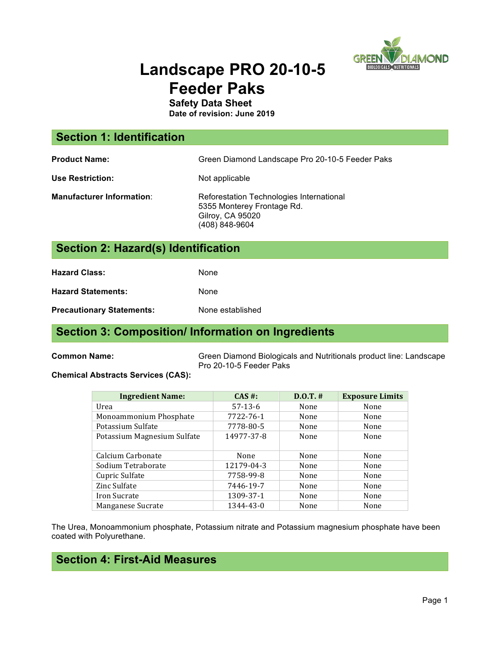

# **Landscape PRO 20-10-5 Feeder Paks**

**Safety Data Sheet**

**Date of revision: June 2019**

| <b>Section 1: Identification</b>    |                                                                                                              |
|-------------------------------------|--------------------------------------------------------------------------------------------------------------|
| <b>Product Name:</b>                | Green Diamond Landscape Pro 20-10-5 Feeder Paks                                                              |
| <b>Use Restriction:</b>             | Not applicable                                                                                               |
| <b>Manufacturer Information:</b>    | Reforestation Technologies International<br>5355 Monterey Frontage Rd.<br>Gilroy, CA 95020<br>(408) 848-9604 |
| Section 2: Hazard(s) Identification |                                                                                                              |
|                                     |                                                                                                              |

**Hazard Class:** None

**Hazard Statements:** None

**Precautionary Statements:** None established

#### **Section 3: Composition/ Information on Ingredients**

**Common Name:** Green Diamond Biologicals and Nutritionals product line: Landscape Pro 20-10-5 Feeder Paks

#### **Chemical Abstracts Services (CAS):**

| <b>Ingredient Name:</b>     | CAS #:     | $D.0.T.$ # | <b>Exposure Limits</b> |
|-----------------------------|------------|------------|------------------------|
| Urea                        | $57-13-6$  | None       | None                   |
| Monoammonium Phosphate      | 7722-76-1  | None       | None                   |
| Potassium Sulfate           | 7778-80-5  | None       | None                   |
| Potassium Magnesium Sulfate | 14977-37-8 | None       | None                   |
| Calcium Carbonate           | None       | None       | None                   |
| Sodium Tetraborate          | 12179-04-3 | None       | None                   |
| Cupric Sulfate              | 7758-99-8  | None       | None                   |
| Zinc Sulfate                | 7446-19-7  | None       | None                   |
| Iron Sucrate                | 1309-37-1  | None       | None                   |
| Manganese Sucrate           | 1344-43-0  | None       | None                   |

The Urea, Monoammonium phosphate, Potassium nitrate and Potassium magnesium phosphate have been coated with Polyurethane.

### **Section 4: First-Aid Measures**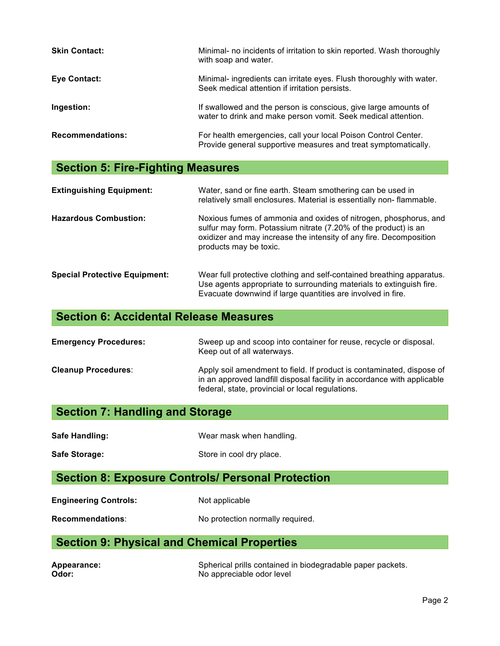| <b>Skin Contact:</b>    | Minimal- no incidents of irritation to skin reported. Wash thoroughly<br>with soap and water.                                    |
|-------------------------|----------------------------------------------------------------------------------------------------------------------------------|
| Eye Contact:            | Minimal- ingredients can irritate eyes. Flush thoroughly with water.<br>Seek medical attention if irritation persists.           |
| Ingestion:              | If swallowed and the person is conscious, give large amounts of<br>water to drink and make person vomit. Seek medical attention. |
| <b>Recommendations:</b> | For health emergencies, call your local Poison Control Center.<br>Provide general supportive measures and treat symptomatically. |

# **Section 5: Fire-Fighting Measures**

| <b>Extinguishing Equipment:</b>      | Water, sand or fine earth. Steam smothering can be used in<br>relatively small enclosures. Material is essentially non-flammable.                                                                                                   |
|--------------------------------------|-------------------------------------------------------------------------------------------------------------------------------------------------------------------------------------------------------------------------------------|
| <b>Hazardous Combustion:</b>         | Noxious fumes of ammonia and oxides of nitrogen, phosphorus, and<br>sulfur may form. Potassium nitrate (7.20% of the product) is an<br>oxidizer and may increase the intensity of any fire. Decomposition<br>products may be toxic. |
| <b>Special Protective Equipment:</b> | Wear full protective clothing and self-contained breathing apparatus.<br>Use agents appropriate to surrounding materials to extinguish fire.<br>Evacuate downwind if large quantities are involved in fire.                         |

# **Section 6: Accidental Release Measures**

| <b>Emergency Procedures:</b> | Sweep up and scoop into container for reuse, recycle or disposal.<br>Keep out of all waterways.                                                                                                      |
|------------------------------|------------------------------------------------------------------------------------------------------------------------------------------------------------------------------------------------------|
| <b>Cleanup Procedures:</b>   | Apply soil amendment to field. If product is contaminated, dispose of<br>in an approved landfill disposal facility in accordance with applicable<br>federal, state, provincial or local regulations. |

# **Section 7: Handling and Storage**

| Wear mask when handling. |
|--------------------------|
|                          |

Safe Storage: Safe Storage: Store in cool dry place.

# **Section 8: Exposure Controls/ Personal Protection**

| <b>Engineering Controls:</b> | Not applicable |
|------------------------------|----------------|
|                              |                |

Recommendations: No protection normally required.

# **Section 9: Physical and Chemical Properties**

| Appearance: | Spherical prills contained in biodegradable paper packets. |
|-------------|------------------------------------------------------------|
| Odor:       | No appreciable odor level                                  |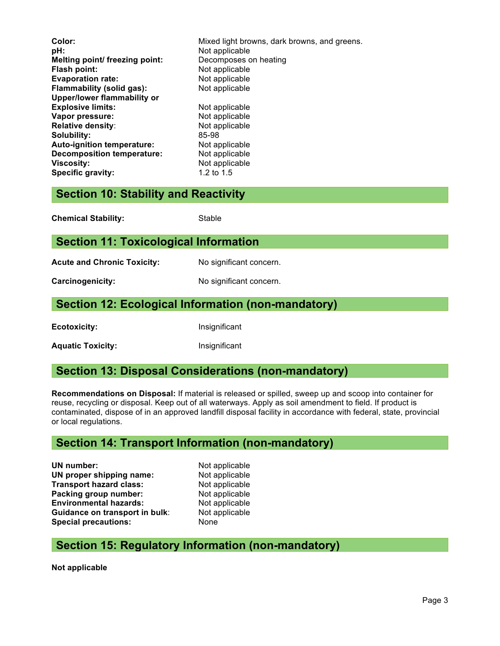| Color:                            | Mixed light browns, dark browns, and greens. |
|-----------------------------------|----------------------------------------------|
| pH:                               | Not applicable                               |
| Melting point/ freezing point:    | Decomposes on heating                        |
| <b>Flash point:</b>               | Not applicable                               |
| <b>Evaporation rate:</b>          | Not applicable                               |
| Flammability (solid gas):         | Not applicable                               |
| Upper/lower flammability or       |                                              |
| <b>Explosive limits:</b>          | Not applicable                               |
| Vapor pressure:                   | Not applicable                               |
| <b>Relative density:</b>          | Not applicable                               |
| Solubility:                       | 85-98                                        |
| Auto-ignition temperature:        | Not applicable                               |
| <b>Decomposition temperature:</b> | Not applicable                               |
| Viscosity:                        | Not applicable                               |
| <b>Specific gravity:</b>          | 1.2 to $1.5$                                 |
|                                   |                                              |

#### **Section 10: Stability and Reactivity**

| <b>Chemical Stability:</b> | Stable |
|----------------------------|--------|
|                            |        |

#### **Section 11: Toxicological Information**

Acute and Chronic Toxicity: No significant concern.

**Carcinogenicity:** No significant concern.

#### **Section 12: Ecological Information (non-mandatory)**

**Ecotoxicity:** Insignificant

Aquatic Toxicity: **Alguatic Toxicity: Insignificant** 

#### **Section 13: Disposal Considerations (non-mandatory)**

**Recommendations on Disposal:** If material is released or spilled, sweep up and scoop into container for reuse, recycling or disposal. Keep out of all waterways. Apply as soil amendment to field. If product is contaminated, dispose of in an approved landfill disposal facility in accordance with federal, state, provincial or local regulations.

#### **Section 14: Transport Information (non-mandatory)**

**UN number:** Not applicable **UN proper shipping name:** Not applicable **Transport hazard class:** Not applicable **Packing group number:** Not applicable **Environmental hazards:** Not applicable **Guidance on transport in bulk:** Not applicable **Special precautions:** None

#### **Section 15: Regulatory Information (non-mandatory)**

**Not applicable**